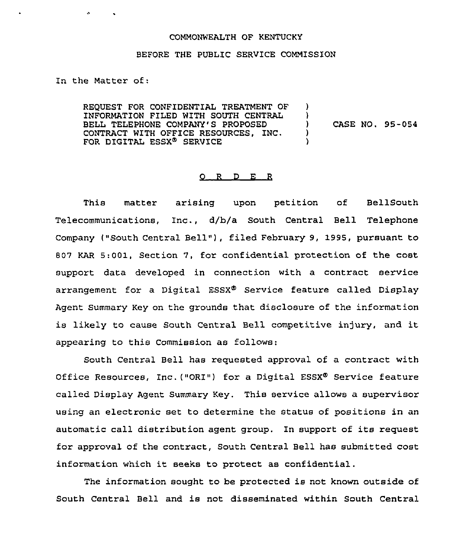## COMMONWEALTH OF KENTUCKY

## BEFORE THE PUBLIC SERVICE COMMISSION

In the Matter of:

 $\mathbf{A}$ 

REQUEST FOR CONFIDENTIAL TREATMENT OF INFORMATION FILED WITH SOUTH CENTRAL BELL TELEPHONE COMPANY'S PROPOSED CONTRACT WITH OFFICE RESOURCES, INC. FOR DIGITAL ESSX<sup>®</sup> SERVICE ) ) ) CASE NO. 95-054 ) )

## 0 R <sup>D</sup> E <sup>R</sup>

This matter arising upon petition of BellSouth Telecommunications, Inc., d/b/a South Central Bell Telephone Company ("South Central Bell"), filed February 9, 1995, pursuant to 807 KAR 5:001, Section 7, for confidential protection of the cost support data developed in connection with a contract service arrangement for a Digital  $ESSX^{\Phi}$  Service feature called Display Agent Summary Key on the grounds that disclosure of the information is likely to cause South Central Bell competitive injury, and it appearing to this Commission as follows:

South Central Bell has requested approval of a contract with Office Resources, Inc. ("ORI") for a Digital ESSX® Service feature called Display Agent Summary Key. This service allows a supervisor using an electronic set to determine the status of positions in an automatic call distribution agent group. In support of its request for approval of the contract, South Central Bell has submitted cost information which it seeks to protect as confidential.

The information sought to be protected is not known outside of South Central Bell and is not disseminated within South Central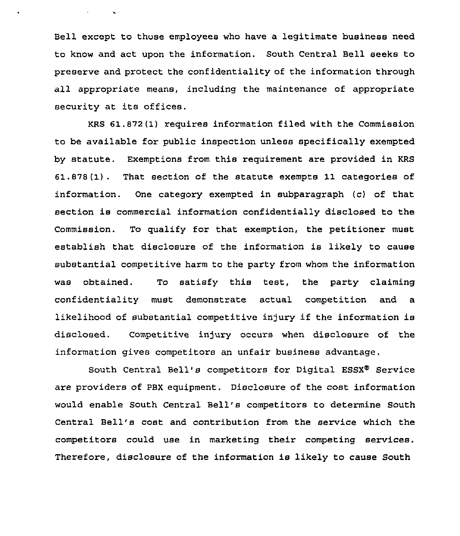Bell except to those employees who have a legitimate business need to know and act upon the information. South Central Bell seeks to preserve and protect the confidentiality of the information through all appropriate means, including the maintenance of appropriate security at its offices.

 $\sim 10^{11}$  and  $\sim 10^{11}$ 

KRS 61.872(1) requires information filed with the Commission to be available for public inspection unless specifically exempted by statute. Exemptions from this requirement are provided in KRS 61,878(1). That section of the statute exempts 11 categories of information. One category exempted in subparagraph (c) of that section is commercial information confidentially disclosed to the Commission. To qualify for that exemption, the petitioner must establish that disclosure of the information is likely to cause substantial competitive harm to the party from whom the information was obtained. To satisfy this test, the party claiming confidentiality must demonstrate actual competition and a likelihood of substantial competitive injury if the information is disclosed. Competitive injury occurs when disclosure of the information gives competitors an unfair business advantage.

South Central Bell's competitors for Digital ESSX® Service are providers of PBX equipment. Disclosure of the cost information would enable South Central Bell's competitors to determine South Central Bell's cost and contribution from the service which the competitors could use in marketing their competing services. Therefore, disclosure of the information is likely to cause South